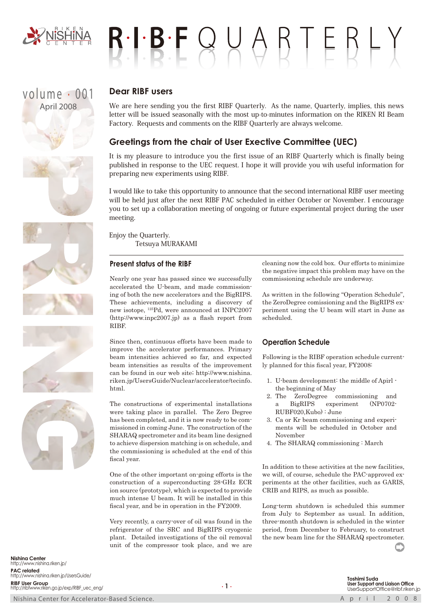

# $B \cdot I \cdot B \cdot F \cup A \cup B \top E B \vdash Y$

## volume . 001 April 2008



We are here sending you the first RIBF Quarterly. As the name, Quarterly, implies, this news letter will be issued seasonally with the most up-to-minutes information on the RIKEN RI Beam Factory. Requests and comments on the RIBF Quarterly are always welcome.

### **Greetings from the chair of User Exective Committee (UEC)**

It is my pleasure to introduce you the first issue of an RIBF Quarterly which is finally being published in response to the UEC request. I hope it will provide you wih useful information for preparing new experiments using RIBF.

I would like to take this opportunity to announce that the second international RIBF user meeting will be held just after the next RIBF PAC scheduled in either October or November. I encourage you to set up a collaboration meeting of ongoing or future experimental project during the user meeting.

Enjoy the Quarterly. Tetsuya MURAKAMI

#### **Present status of the RIBF**

Nearly one year has passed since we successfully accelerated the U-beam, and made commissioning of both the new accelerators and the BigRIPS. These achievements, including a discovery of new isotope, 125Pd, were announced at INPC2007 (http://www.inpc2007.jp) as a flash report from RIBF.

Since then, continuous efforts have been made to improve the accelerator performances. Primary beam intensities achieved so far, and expected beam intensities as results of the improvement can be found in our web site; http://www.nishina. riken.jp/UsersGuide/Nuclear/accelerator/tecinfo. html.

The constructions of experimental installations were taking place in parallel. The Zero Degree has been completed, and it is now ready to be commissioned in coming June. The construction of the SHARAQ spectrometer and its beam line designed to achieve dispersion matching is on schedule, and the commissioning is scheduled at the end of this fiscal year.

One of the other important on-going efforts is the construction of a superconducting 28-GHz ECR ion source (prototype), which is expected to provide much intense U beam. It will be installed in this fiscal year, and be in operation in the FY2009.

Very recently, a carry-over of oil was found in the refrigerator of the SRC and BigRIPS cryogenic plant. Detailed investigations of the oil removal unit of the compressor took place, and we are

cleaning now the cold box. Our efforts to minimize the negative impact this problem may have on the commissioning schedule are underway.

As written in the following "Operation Schedule", the ZeroDegree comissioning and the BigRIPS experiment using the U beam will start in June as scheduled.

#### **Operation Schedule**

Following is the RIBF operation schedule currently planned for this fiscal year, FY2008:

- 1. U-beam development: the middle of Apirl the beginning of May
- 2. The ZeroDegree commissioning and a BigRIPS experiment (NP0702- RUBF020,Kubo) : June
- 3. Ca or Kr beam commissioning and experiments will be scheduled in October and November
- 4. The SHARAQ commissioning : March

In addition to these activities at the new facilities, we will, of course, schedule the PAC-approved experiments at the other facilities, such as GARIS, CRIB and RIPS, as much as possible.

Long-term shutdown is scheduled this summer from July to September as usual. In addition, three-month shutdown is scheduled in the winter period, from December to February, to construct the new beam line for the SHARAQ spectrometer.

**Nishina Center** http://www.nishina.riken.jp/ **PAC related** http://www.nishina.riken.jp/UsersGuide/ **RIBF User Group** http://ribfwww.riken.go.jp/exp/RIBF\_uec\_eng/